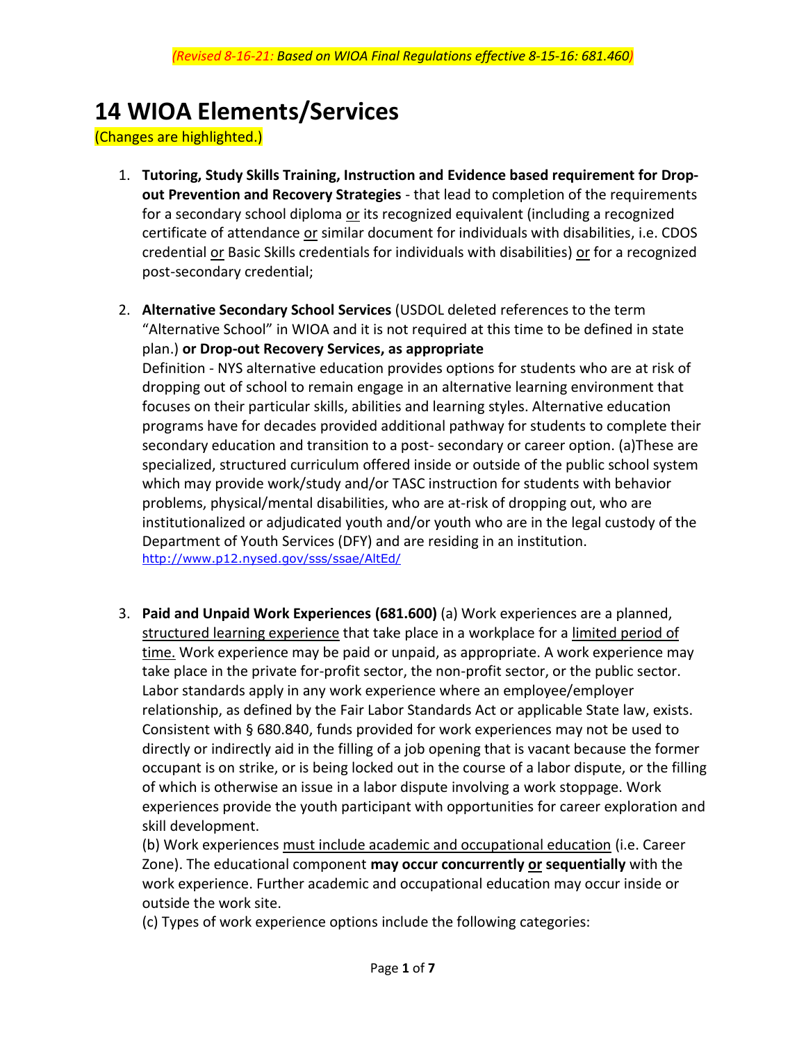## **14 WIOA Elements/Services**

(Changes are highlighted.)

- 1. **Tutoring, Study Skills Training, Instruction and Evidence based requirement for Dropout Prevention and Recovery Strategies** - that lead to completion of the requirements for a secondary school diploma or its recognized equivalent (including a recognized certificate of attendance or similar document for individuals with disabilities, i.e. CDOS credential or Basic Skills credentials for individuals with disabilities) or for a recognized post-secondary credential;
- 2. **Alternative Secondary School Services** (USDOL deleted references to the term "Alternative School" in WIOA and it is not required at this time to be defined in state plan.) **or Drop-out Recovery Services, as appropriate**

Definition - NYS alternative education provides options for students who are at risk of dropping out of school to remain engage in an alternative learning environment that focuses on their particular skills, abilities and learning styles. Alternative education programs have for decades provided additional pathway for students to complete their secondary education and transition to a post- secondary or career option. (a)These are specialized, structured curriculum offered inside or outside of the public school system which may provide work/study and/or TASC instruction for students with behavior problems, physical/mental disabilities, who are at-risk of dropping out, who are institutionalized or adjudicated youth and/or youth who are in the legal custody of the Department of Youth Services (DFY) and are residing in an institution. <http://www.p12.nysed.gov/sss/ssae/AltEd/>

3. **Paid and Unpaid Work Experiences (681.600)** (a) Work experiences are a planned, structured learning experience that take place in a workplace for a limited period of time. Work experience may be paid or unpaid, as appropriate. A work experience may take place in the private for-profit sector, the non-profit sector, or the public sector. Labor standards apply in any work experience where an employee/employer relationship, as defined by the Fair Labor Standards Act or applicable State law, exists. Consistent with § 680.840, funds provided for work experiences may not be used to directly or indirectly aid in the filling of a job opening that is vacant because the former occupant is on strike, or is being locked out in the course of a labor dispute, or the filling of which is otherwise an issue in a labor dispute involving a work stoppage. Work experiences provide the youth participant with opportunities for career exploration and skill development.

(b) Work experiences must include academic and occupational education (i.e. Career Zone). The educational component **may occur concurrently or sequentially** with the work experience. Further academic and occupational education may occur inside or outside the work site.

(c) Types of work experience options include the following categories: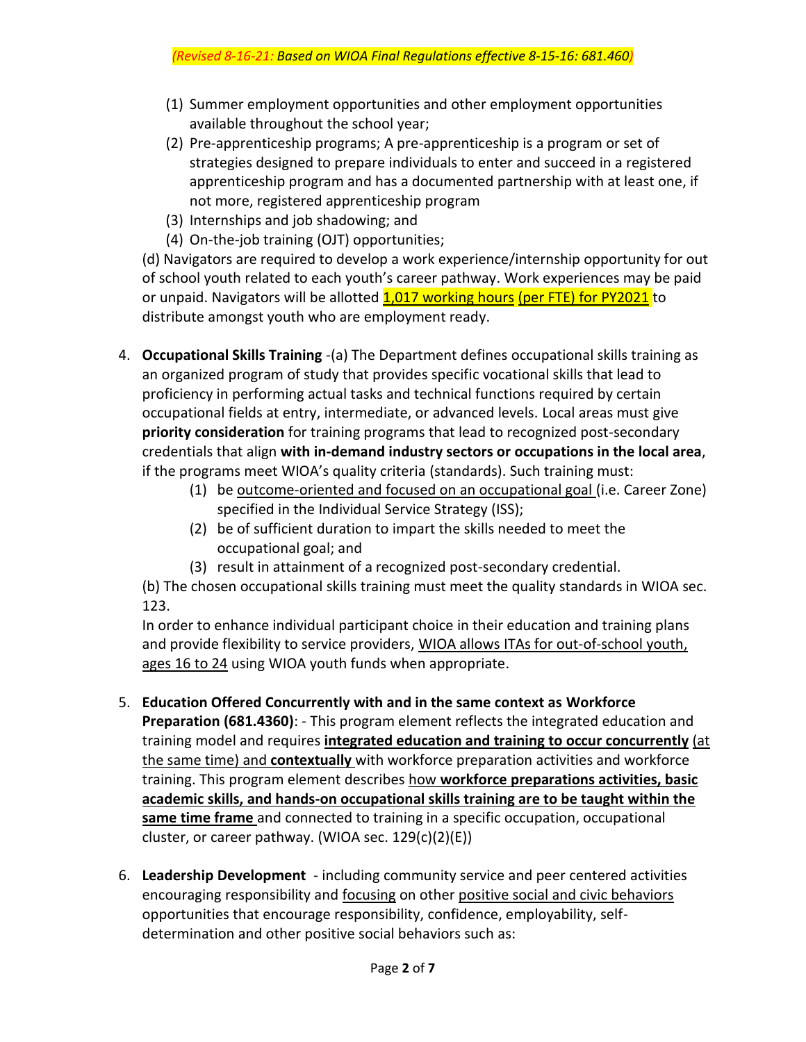- (1) Summer employment opportunities and other employment opportunities available throughout the school year;
- (2) Pre-apprenticeship programs; A pre-apprenticeship is a program or set of strategies designed to prepare individuals to enter and succeed in a registered apprenticeship program and has a documented partnership with at least one, if not more, registered apprenticeship program
- (3) Internships and job shadowing; and
- (4) On-the-job training (OJT) opportunities;

(d) Navigators are required to develop a work experience/internship opportunity for out of school youth related to each youth's career pathway. Work experiences may be paid or unpaid. Navigators will be allotted 1,017 working hours (per FTE) for PY2021 to distribute amongst youth who are employment ready.

- 4. **Occupational Skills Training** -(a) The Department defines occupational skills training as an organized program of study that provides specific vocational skills that lead to proficiency in performing actual tasks and technical functions required by certain occupational fields at entry, intermediate, or advanced levels. Local areas must give **priority consideration** for training programs that lead to recognized post-secondary credentials that align **with in-demand industry sectors or occupations in the local area**, if the programs meet WIOA's quality criteria (standards). Such training must:
	- (1) be outcome-oriented and focused on an occupational goal (i.e. Career Zone) specified in the Individual Service Strategy (ISS);
	- (2) be of sufficient duration to impart the skills needed to meet the occupational goal; and
	- (3) result in attainment of a recognized post-secondary credential.

(b) The chosen occupational skills training must meet the quality standards in WIOA sec. 123.

In order to enhance individual participant choice in their education and training plans and provide flexibility to service providers, WIOA allows ITAs for out-of-school youth, ages 16 to 24 using WIOA youth funds when appropriate.

- 5. **Education Offered Concurrently with and in the same context as Workforce Preparation (681.4360)**: - This program element reflects the integrated education and training model and requires **integrated education and training to occur concurrently** (at the same time) and **contextually** with workforce preparation activities and workforce training. This program element describes how **workforce preparations activities, basic academic skills, and hands-on occupational skills training are to be taught within the same time frame** and connected to training in a specific occupation, occupational cluster, or career pathway. (WIOA sec. 129(c)(2)(E))
- 6. **Leadership Development** including community service and peer centered activities encouraging responsibility and **focusing** on other positive social and civic behaviors opportunities that encourage responsibility, confidence, employability, selfdetermination and other positive social behaviors such as: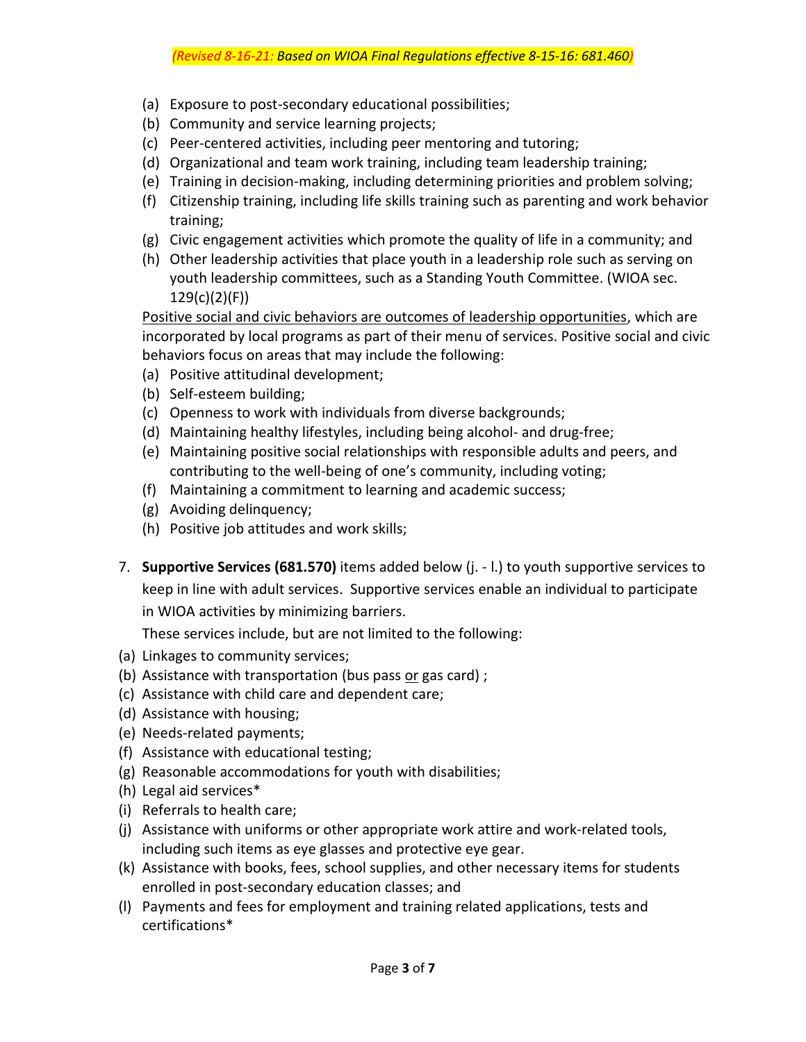- (a) Exposure to post-secondary educational possibilities;
- (b) Community and service learning projects;
- (c) Peer-centered activities, including peer mentoring and tutoring;
- (d) Organizational and team work training, including team leadership training;
- (e) Training in decision-making, including determining priorities and problem solving;
- (f) Citizenship training, including life skills training such as parenting and work behavior training;
- (g) Civic engagement activities which promote the quality of life in a community; and
- (h) Other leadership activities that place youth in a leadership role such as serving on youth leadership committees, such as a Standing Youth Committee. (WIOA sec. 129(c)(2)(F))

Positive social and civic behaviors are outcomes of leadership opportunities, which are incorporated by local programs as part of their menu of services. Positive social and civic behaviors focus on areas that may include the following:

- (a) Positive attitudinal development;
- (b) Self-esteem building;
- (c) Openness to work with individuals from diverse backgrounds;
- (d) Maintaining healthy lifestyles, including being alcohol- and drug-free;
- (e) Maintaining positive social relationships with responsible adults and peers, and contributing to the well-being of one's community, including voting;
- (f) Maintaining a commitment to learning and academic success;
- (g) Avoiding delinquency;
- (h) Positive job attitudes and work skills;
- 7. **Supportive Services (681.570)** items added below (j. l.) to youth supportive services to keep in line with adult services. Supportive services enable an individual to participate in WIOA activities by minimizing barriers.

These services include, but are not limited to the following:

- (a) Linkages to community services;
- (b) Assistance with transportation (bus pass or gas card) ;
- (c) Assistance with child care and dependent care;
- (d) Assistance with housing;
- (e) Needs-related payments;
- (f) Assistance with educational testing;
- (g) Reasonable accommodations for youth with disabilities;
- (h) Legal aid services\*
- (i) Referrals to health care;
- (j) Assistance with uniforms or other appropriate work attire and work-related tools, including such items as eye glasses and protective eye gear.
- (k) Assistance with books, fees, school supplies, and other necessary items for students enrolled in post-secondary education classes; and
- (l) Payments and fees for employment and training related applications, tests and certifications\*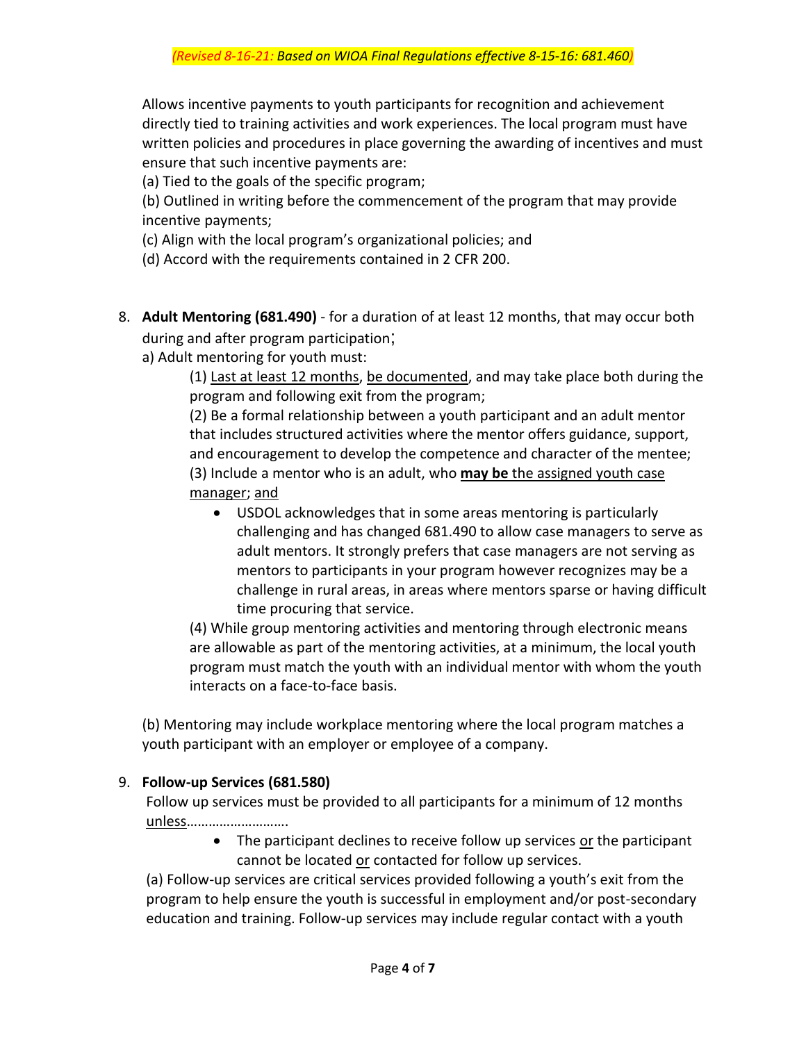Allows incentive payments to youth participants for recognition and achievement directly tied to training activities and work experiences. The local program must have written policies and procedures in place governing the awarding of incentives and must ensure that such incentive payments are:

(a) Tied to the goals of the specific program;

(b) Outlined in writing before the commencement of the program that may provide incentive payments;

(c) Align with the local program's organizational policies; and

(d) Accord with the requirements contained in 2 CFR 200.

- 8. **Adult Mentoring (681.490)** for a duration of at least 12 months, that may occur both during and after program participation;
	- a) Adult mentoring for youth must:

(1) Last at least 12 months, be documented, and may take place both during the program and following exit from the program;

(2) Be a formal relationship between a youth participant and an adult mentor that includes structured activities where the mentor offers guidance, support, and encouragement to develop the competence and character of the mentee; (3) Include a mentor who is an adult, who **may be** the assigned youth case manager; and

• USDOL acknowledges that in some areas mentoring is particularly challenging and has changed 681.490 to allow case managers to serve as adult mentors. It strongly prefers that case managers are not serving as mentors to participants in your program however recognizes may be a challenge in rural areas, in areas where mentors sparse or having difficult time procuring that service.

(4) While group mentoring activities and mentoring through electronic means are allowable as part of the mentoring activities, at a minimum, the local youth program must match the youth with an individual mentor with whom the youth interacts on a face-to-face basis.

(b) Mentoring may include workplace mentoring where the local program matches a youth participant with an employer or employee of a company.

## 9. **Follow-up Services (681.580)**

Follow up services must be provided to all participants for a minimum of 12 months unless……………………….

> • The participant declines to receive follow up services or the participant cannot be located or contacted for follow up services.

(a) Follow-up services are critical services provided following a youth's exit from the program to help ensure the youth is successful in employment and/or post-secondary education and training. Follow-up services may include regular contact with a youth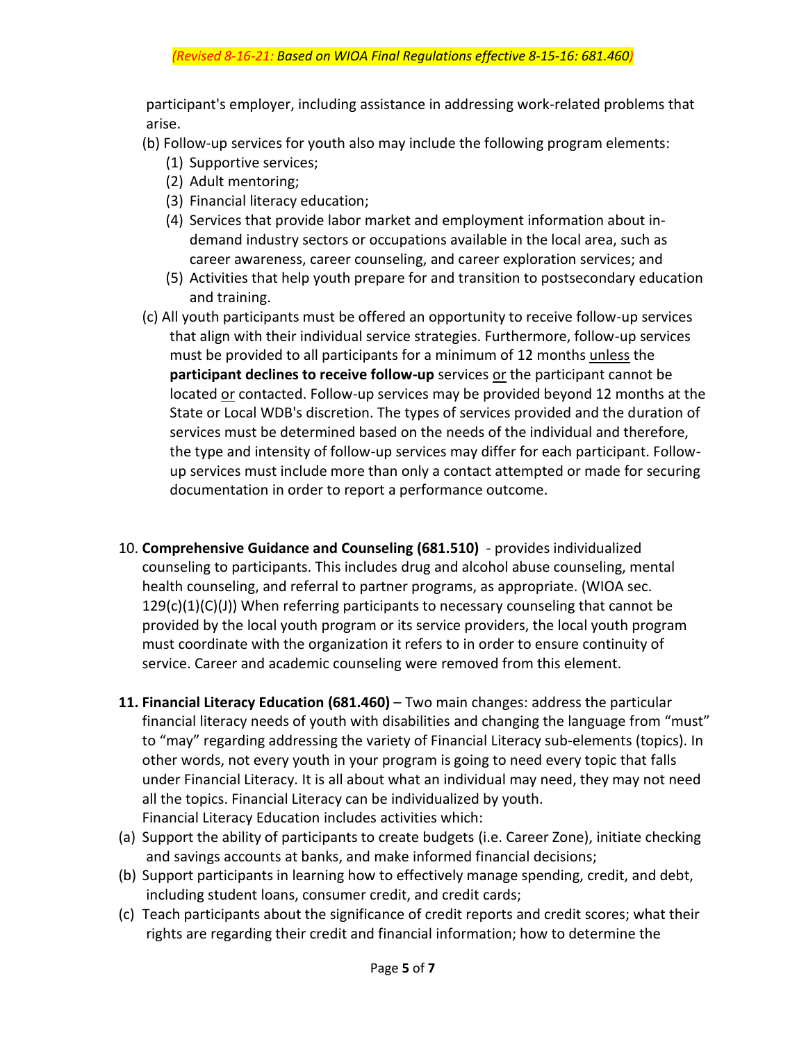participant's employer, including assistance in addressing work-related problems that arise.

- (b) Follow-up services for youth also may include the following program elements:
	- (1) Supportive services;
	- (2) Adult mentoring;
	- (3) Financial literacy education;
	- (4) Services that provide labor market and employment information about indemand industry sectors or occupations available in the local area, such as career awareness, career counseling, and career exploration services; and
	- (5) Activities that help youth prepare for and transition to postsecondary education and training.
- (c) All youth participants must be offered an opportunity to receive follow-up services that align with their individual service strategies. Furthermore, follow-up services must be provided to all participants for a minimum of 12 months unless the **participant declines to receive follow-up** services or the participant cannot be located or contacted. Follow-up services may be provided beyond 12 months at the State or Local WDB's discretion. The types of services provided and the duration of services must be determined based on the needs of the individual and therefore, the type and intensity of follow-up services may differ for each participant. Followup services must include more than only a contact attempted or made for securing documentation in order to report a performance outcome.
- 10. **Comprehensive Guidance and Counseling (681.510)** provides individualized counseling to participants. This includes drug and alcohol abuse counseling, mental health counseling, and referral to partner programs, as appropriate. (WIOA sec.  $129(c)(1)(C)(J)$ ) When referring participants to necessary counseling that cannot be provided by the local youth program or its service providers, the local youth program must coordinate with the organization it refers to in order to ensure continuity of service. Career and academic counseling were removed from this element.
- **11. Financial Literacy Education (681.460)** Two main changes: address the particular financial literacy needs of youth with disabilities and changing the language from "must" to "may" regarding addressing the variety of Financial Literacy sub-elements (topics). In other words, not every youth in your program is going to need every topic that falls under Financial Literacy. It is all about what an individual may need, they may not need all the topics. Financial Literacy can be individualized by youth. Financial Literacy Education includes activities which:
- (a) Support the ability of participants to create budgets (i.e. Career Zone), initiate checking and savings accounts at banks, and make informed financial decisions;
- (b) Support participants in learning how to effectively manage spending, credit, and debt, including student loans, consumer credit, and credit cards;
- (c) Teach participants about the significance of credit reports and credit scores; what their rights are regarding their credit and financial information; how to determine the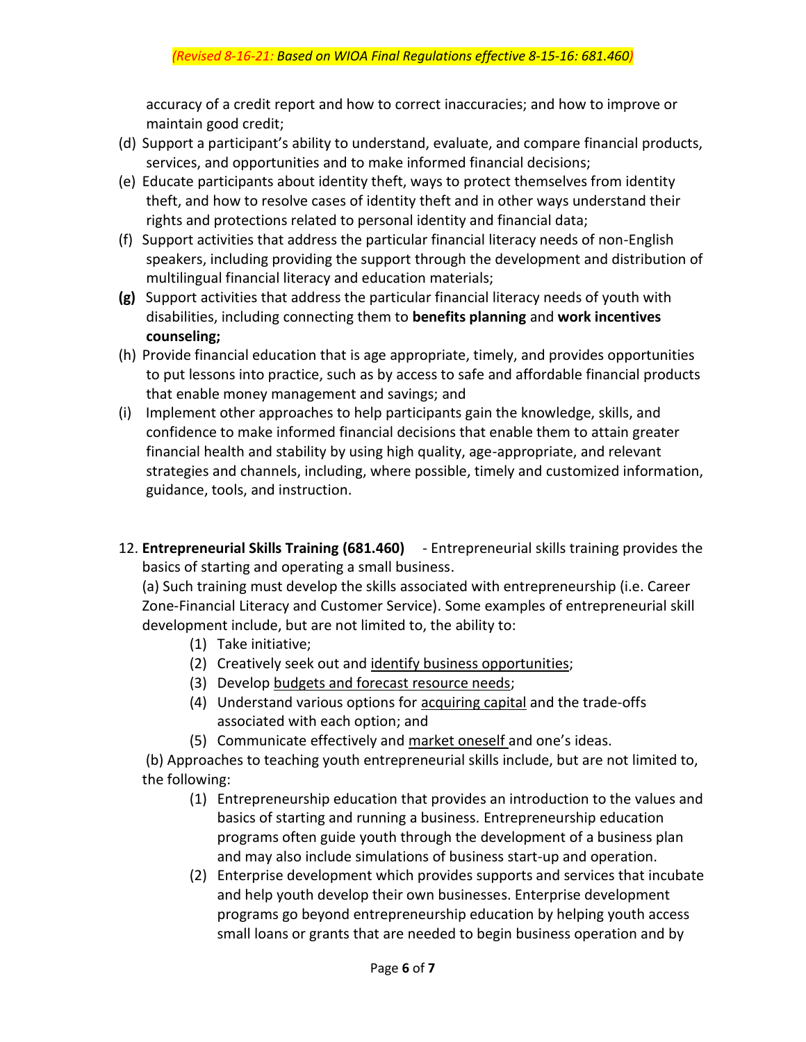accuracy of a credit report and how to correct inaccuracies; and how to improve or maintain good credit;

- (d) Support a participant's ability to understand, evaluate, and compare financial products, services, and opportunities and to make informed financial decisions;
- (e) Educate participants about identity theft, ways to protect themselves from identity theft, and how to resolve cases of identity theft and in other ways understand their rights and protections related to personal identity and financial data;
- (f) Support activities that address the particular financial literacy needs of non-English speakers, including providing the support through the development and distribution of multilingual financial literacy and education materials;
- **(g)** Support activities that address the particular financial literacy needs of youth with disabilities, including connecting them to **benefits planning** and **work incentives counseling;**
- (h) Provide financial education that is age appropriate, timely, and provides opportunities to put lessons into practice, such as by access to safe and affordable financial products that enable money management and savings; and
- (i) Implement other approaches to help participants gain the knowledge, skills, and confidence to make informed financial decisions that enable them to attain greater financial health and stability by using high quality, age-appropriate, and relevant strategies and channels, including, where possible, timely and customized information, guidance, tools, and instruction.
- 12. **Entrepreneurial Skills Training (681.460)** Entrepreneurial skills training provides the basics of starting and operating a small business.

(a) Such training must develop the skills associated with entrepreneurship (i.e. Career Zone-Financial Literacy and Customer Service). Some examples of entrepreneurial skill development include, but are not limited to, the ability to:

- (1) Take initiative;
- (2) Creatively seek out and identify business opportunities;
- (3) Develop budgets and forecast resource needs;
- (4) Understand various options for acquiring capital and the trade-offs associated with each option; and
- (5) Communicate effectively and market oneself and one's ideas.

(b) Approaches to teaching youth entrepreneurial skills include, but are not limited to, the following:

- (1) Entrepreneurship education that provides an introduction to the values and basics of starting and running a business. Entrepreneurship education programs often guide youth through the development of a business plan and may also include simulations of business start-up and operation.
- (2) Enterprise development which provides supports and services that incubate and help youth develop their own businesses. Enterprise development programs go beyond entrepreneurship education by helping youth access small loans or grants that are needed to begin business operation and by